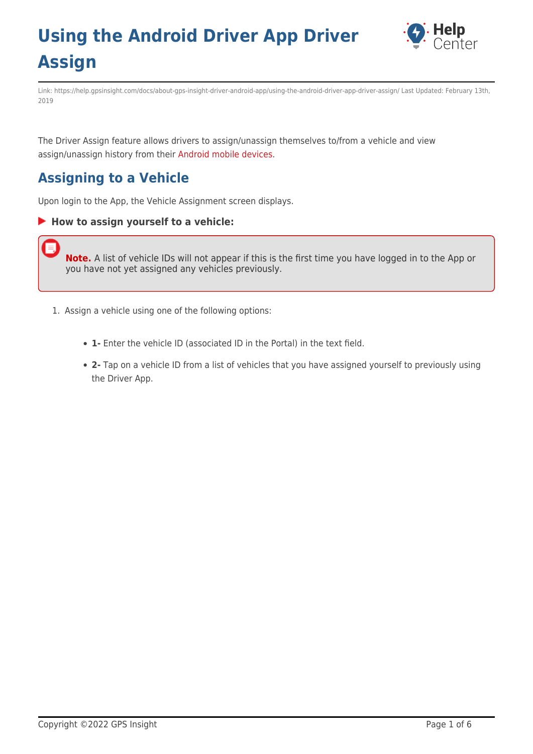

Link: https://help.gpsinsight.com/docs/about-gps-insight-driver-android-app/using-the-android-driver-app-driver-assign/ Last Updated: February 13th, 2019

The Driver Assign feature allows drivers to assign/unassign themselves to/from a vehicle and view assign/unassign history from their [Android mobile devices](https://help.gpsinsight.com/docs/about-gps-insight-driver-android-app/).

#### **Assigning to a Vehicle**

Upon login to the App, the Vehicle Assignment screen displays.

#### **How to assign yourself to a vehicle:**

**Note.** A list of vehicle IDs will not appear if this is the first time you have logged in to the App or you have not yet assigned any vehicles previously.

- 1. Assign a vehicle using one of the following options:
	- **1-** Enter the vehicle ID (associated ID in the Portal) in the text field.
	- **2-** Tap on a vehicle ID from a list of vehicles that you have assigned yourself to previously using the Driver App.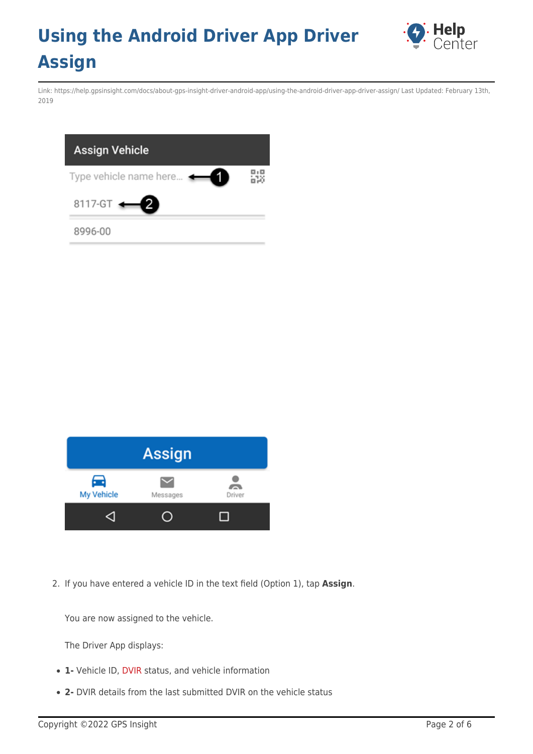

Link: https://help.gpsinsight.com/docs/about-gps-insight-driver-android-app/using-the-android-driver-app-driver-assign/ Last Updated: February 13th, 2019





2. If you have entered a vehicle ID in the text field (Option 1), tap **Assign**.

You are now assigned to the vehicle.

The Driver App displays:

- **1-** Vehicle ID, [DVIR](https://help.gpsinsight.com/docs/about-gps-insight-driver-android-app/using-the-android-driver-app-dvir/) status, and vehicle information
- **2-** DVIR details from the last submitted DVIR on the vehicle status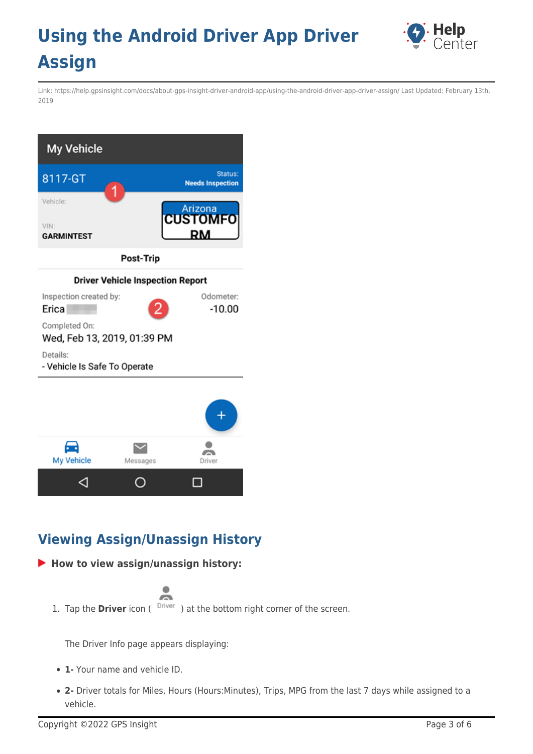

Link: https://help.gpsinsight.com/docs/about-gps-insight-driver-android-app/using-the-android-driver-app-driver-assign/ Last Updated: February 13th, 2019



#### **Viewing Assign/Unassign History**

**How to view assign/unassign history:**



1. Tap the **Driver** icon (  $\frac{Dirier}{\ }$  ) at the bottom right corner of the screen.

The Driver Info page appears displaying:

- **1-** Your name and vehicle ID.
- **2-** Driver totals for Miles, Hours (Hours:Minutes), Trips, MPG from the last 7 days while assigned to a vehicle.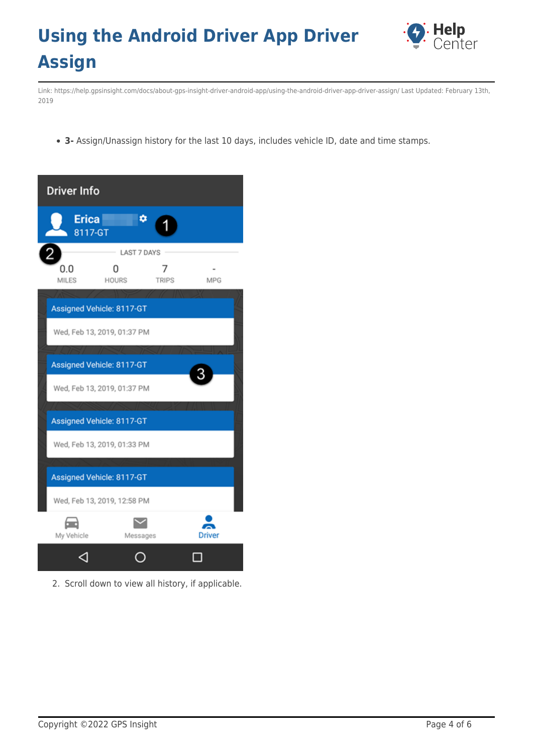

Link: https://help.gpsinsight.com/docs/about-gps-insight-driver-android-app/using-the-android-driver-app-driver-assign/ Last Updated: February 13th, 2019

**3-** Assign/Unassign history for the last 10 days, includes vehicle ID, date and time stamps.

| <b>Driver Info</b>  |                             |              |               |  |  |
|---------------------|-----------------------------|--------------|---------------|--|--|
| <b>Erica</b>        | 8117-GT                     | ۰            |               |  |  |
|                     | <b>LAST 7 DAYS</b>          |              |               |  |  |
| 0.0<br><b>MILES</b> | <b>HOURS</b>                | <b>TRIPS</b> | <b>MPG</b>    |  |  |
|                     | Assigned Vehicle: 8117-GT   |              |               |  |  |
|                     | Wed, Feb 13, 2019, 01:37 PM |              |               |  |  |
|                     | Assigned Vehicle: 8117-GT   |              |               |  |  |
|                     | Wed, Feb 13, 2019, 01:37 PM |              |               |  |  |
|                     | Assigned Vehicle: 8117-GT   |              |               |  |  |
|                     | Wed, Feb 13, 2019, 01:33 PM |              |               |  |  |
|                     | Assigned Vehicle: 8117-GT   |              |               |  |  |
|                     | Wed, Feb 13, 2019, 12:58 PM |              |               |  |  |
| My Vehicle          | Messages                    |              | <b>Driver</b> |  |  |
|                     |                             |              |               |  |  |

2. Scroll down to view all history, if applicable.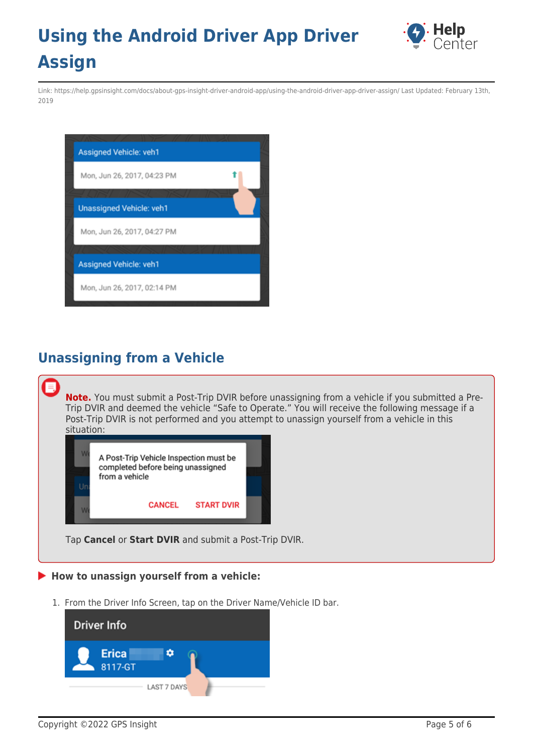

Link: https://help.gpsinsight.com/docs/about-gps-insight-driver-android-app/using-the-android-driver-app-driver-assign/ Last Updated: February 13th, 2019

| Assigned Vehicle: veh1          |  |  |  |  |
|---------------------------------|--|--|--|--|
| Mon, Jun 26, 2017, 04:23 PM     |  |  |  |  |
| <b>Unassigned Vehicle: veh1</b> |  |  |  |  |
| Mon, Jun 26, 2017, 04:27 PM     |  |  |  |  |
| Assigned Vehicle: veh1          |  |  |  |  |
| Mon, Jun 26, 2017, 02:14 PM     |  |  |  |  |

#### **Unassigning from a Vehicle**

E.

**Note.** You must submit a Post-Trip DVIR before unassigning from a vehicle if you submitted a Pre-Trip DVIR and deemed the vehicle "Safe to Operate." You will receive the following message if a Post-Trip DVIR is not performed and you attempt to unassign yourself from a vehicle in this situation:



Tap **Cancel** or **Start DVIR** and submit a Post-Trip DVIR.

#### **How to unassign yourself from a vehicle:**

1. From the Driver Info Screen, tap on the Driver Name/Vehicle ID bar.